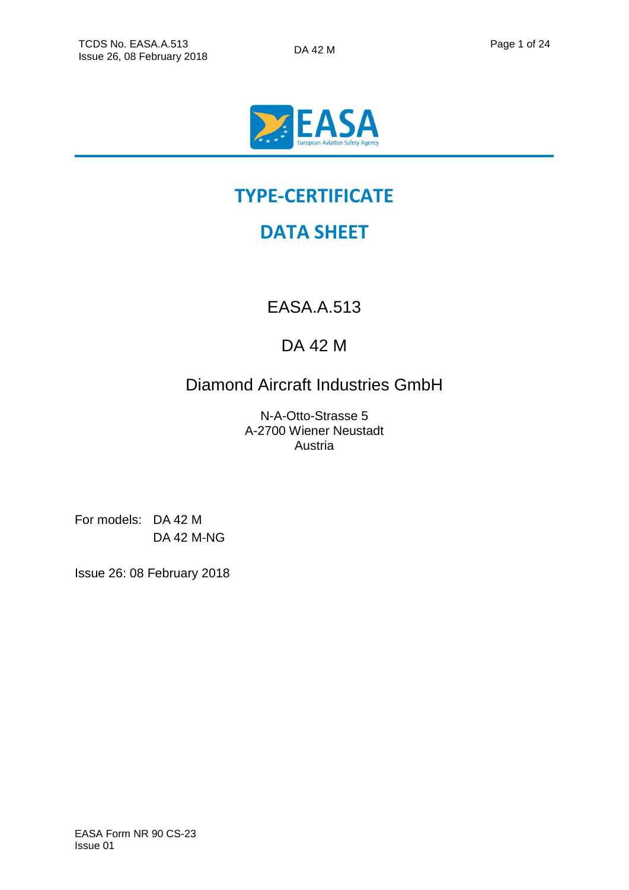

# **TYPE-CERTIFICATE**

# **DATA SHEET**

EASA.A.513

## DA 42 M

Diamond Aircraft Industries GmbH

N-A-Otto-Strasse 5 A-2700 Wiener Neustadt Austria

For models: DA 42 M DA 42 M-NG

Issue 26: 08 February 2018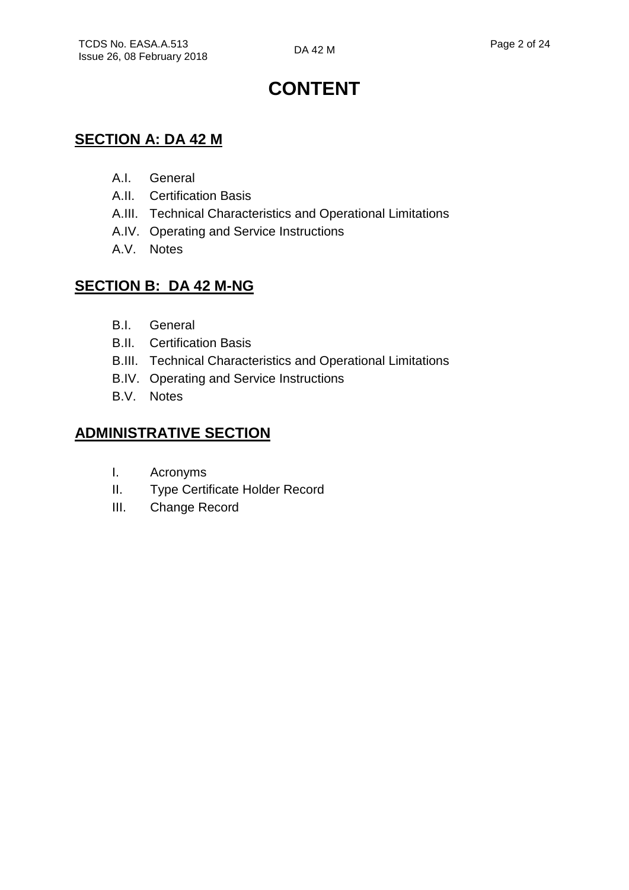# **CONTENT**

## **SECTION A: DA 42 M**

- A.I. General
- A.II. Certification Basis
- A.III. Technical Characteristics and Operational Limitations
- A.IV. Operating and Service Instructions
- A.V. Notes

## **SECTION B: DA 42 M-NG**

- B.I. General
- B.II. Certification Basis
- B.III. Technical Characteristics and Operational Limitations
- B.IV. Operating and Service Instructions
- B.V. Notes

## **ADMINISTRATIVE SECTION**

- I. Acronyms
- II. Type Certificate Holder Record
- III. Change Record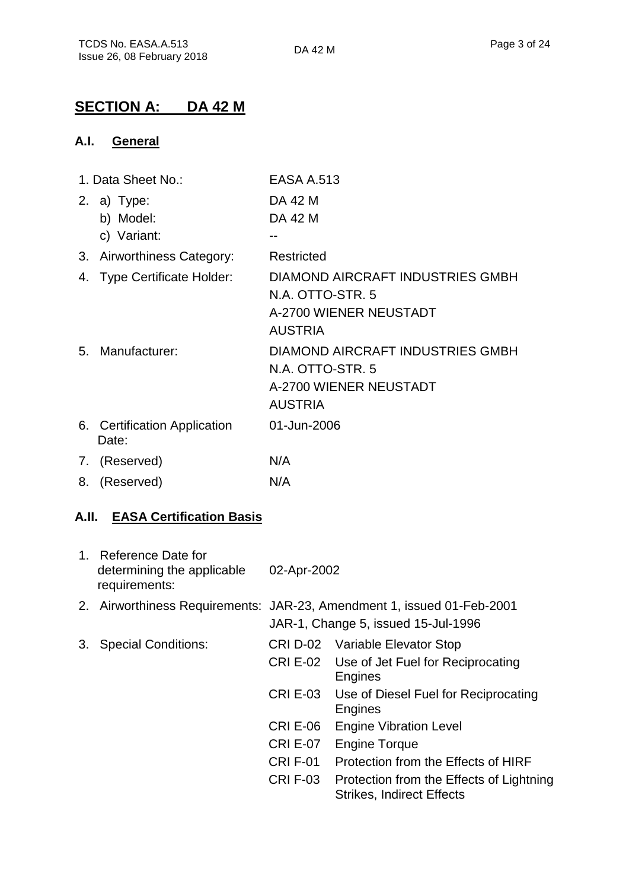## **SECTION A: DA 42 M**

#### **A.I. General**

|    | 1. Data Sheet No.:                      | <b>EASA A.513</b>                                                                                |  |  |
|----|-----------------------------------------|--------------------------------------------------------------------------------------------------|--|--|
|    | 2. a) Type:<br>b) Model:<br>c) Variant: | DA 42 M<br>DA 42 M                                                                               |  |  |
|    | 3. Airworthiness Category:              | Restricted                                                                                       |  |  |
|    | 4. Type Certificate Holder:             | DIAMOND AIRCRAFT INDUSTRIES GMBH<br>N.A. OTTO-STR. 5<br>A-2700 WIENER NEUSTADT<br><b>AUSTRIA</b> |  |  |
|    | 5. Manufacturer:                        | DIAMOND AIRCRAFT INDUSTRIES GMBH<br>N.A. OTTO-STR. 5<br>A-2700 WIENER NEUSTADT<br><b>AUSTRIA</b> |  |  |
|    | 6. Certification Application<br>Date:   | 01-Jun-2006                                                                                      |  |  |
|    | 7. (Reserved)                           | N/A                                                                                              |  |  |
| 8. | (Reserved)                              | N/A                                                                                              |  |  |

#### **A.II. EASA Certification Basis**

|    | 1. Reference Date for<br>determining the applicable<br>requirements: | 02-Apr-2002     |                                                                                                               |
|----|----------------------------------------------------------------------|-----------------|---------------------------------------------------------------------------------------------------------------|
|    |                                                                      |                 | 2. Airworthiness Requirements: JAR-23, Amendment 1, issued 01-Feb-2001<br>JAR-1, Change 5, issued 15-Jul-1996 |
| 3. | <b>Special Conditions:</b>                                           |                 | CRI D-02 Variable Elevator Stop                                                                               |
|    |                                                                      | <b>CRI E-02</b> | Use of Jet Fuel for Reciprocating<br>Engines                                                                  |
|    |                                                                      | <b>CRI E-03</b> | Use of Diesel Fuel for Reciprocating<br>Engines                                                               |
|    |                                                                      | <b>CRI E-06</b> | <b>Engine Vibration Level</b>                                                                                 |
|    |                                                                      | <b>CRI E-07</b> | <b>Engine Torque</b>                                                                                          |
|    |                                                                      | CRIF-01         | Protection from the Effects of HIRF                                                                           |
|    |                                                                      | <b>CRIF-03</b>  | Protection from the Effects of Lightning<br><b>Strikes, Indirect Effects</b>                                  |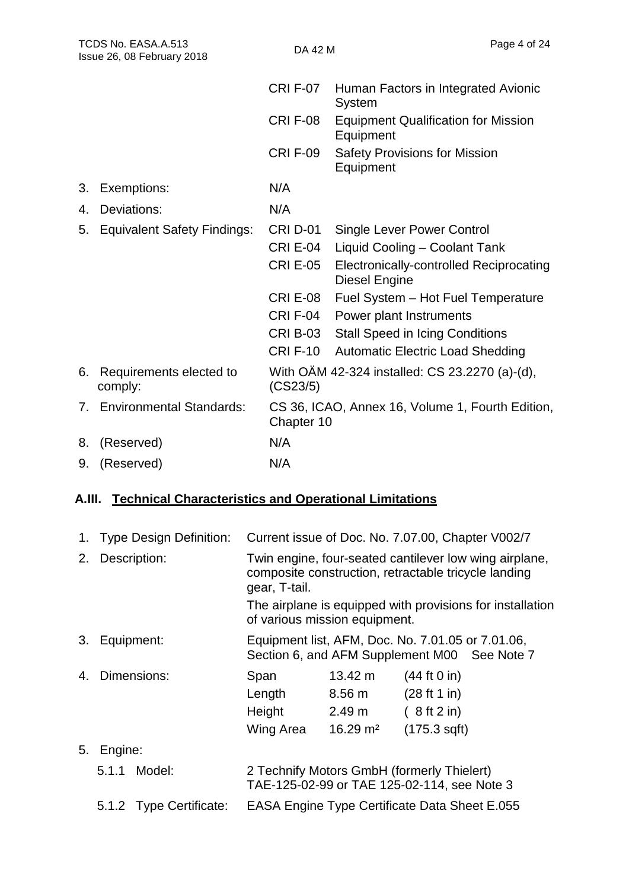| TCDS No. EASA.A.513<br>Issue 26, 08 February 2018 |                                    | DA 42 M         | Page 4 of 24                                                    |
|---------------------------------------------------|------------------------------------|-----------------|-----------------------------------------------------------------|
|                                                   |                                    | <b>CRI F-07</b> | Human Factors in Integrated Avionic<br>System                   |
|                                                   |                                    | <b>CRIF-08</b>  | <b>Equipment Qualification for Mission</b><br>Equipment         |
|                                                   |                                    | <b>CRIF-09</b>  | <b>Safety Provisions for Mission</b><br>Equipment               |
| 3.                                                | Exemptions:                        | N/A             |                                                                 |
| 4.                                                | Deviations:                        | N/A             |                                                                 |
| 5.                                                | <b>Equivalent Safety Findings:</b> | <b>CRI D-01</b> | <b>Single Lever Power Control</b>                               |
|                                                   |                                    | <b>CRI E-04</b> | Liquid Cooling - Coolant Tank                                   |
|                                                   |                                    | <b>CRI E-05</b> | <b>Electronically-controlled Reciprocating</b><br>Diesel Engine |
|                                                   |                                    | <b>CRI E-08</b> | Fuel System - Hot Fuel Temperature                              |
|                                                   |                                    | <b>CRI F-04</b> | Power plant Instruments                                         |
|                                                   |                                    | <b>CRI B-03</b> | <b>Stall Speed in Icing Conditions</b>                          |
|                                                   |                                    | <b>CRI F-10</b> | <b>Automatic Electric Load Shedding</b>                         |
| 6.                                                | Requirements elected to<br>comply: | (CS23/5)        | With OAM 42-324 installed: CS 23.2270 (a)-(d),                  |
| 7.                                                | <b>Environmental Standards:</b>    | Chapter 10      | CS 36, ICAO, Annex 16, Volume 1, Fourth Edition,                |
| 8.                                                | (Reserved)                         | N/A             |                                                                 |
| 9.                                                | (Reserved)                         | N/A             |                                                                 |

## **A.III. Technical Characteristics and Operational Limitations**

| 1. |              | Type Design Definition: | Current issue of Doc. No. 7.07.00, Chapter V002/7                                                                               |                     |              |  |  |
|----|--------------|-------------------------|---------------------------------------------------------------------------------------------------------------------------------|---------------------|--------------|--|--|
| 2. | Description: |                         | Twin engine, four-seated cantilever low wing airplane,<br>composite construction, retractable tricycle landing<br>gear, T-tail. |                     |              |  |  |
|    |              |                         | The airplane is equipped with provisions for installation<br>of various mission equipment.                                      |                     |              |  |  |
| 3. | Equipment:   |                         | Equipment list, AFM, Doc. No. 7.01.05 or 7.01.06,<br>Section 6, and AFM Supplement M00 See Note 7                               |                     |              |  |  |
| 4. |              | Dimensions:             | Span                                                                                                                            | $13.42 \text{ m}$   | (44 ft 0 in) |  |  |
|    |              |                         | Length                                                                                                                          | 8.56 m              | (28 ft 1 in) |  |  |
|    |              |                         | Height                                                                                                                          | 2.49 <sub>m</sub>   | (8 ft 2 in)  |  |  |
|    |              |                         | Wing Area                                                                                                                       | $16.29 \text{ m}^2$ | (175.3 sqft) |  |  |
| 5. | Engine:      |                         |                                                                                                                                 |                     |              |  |  |
|    | 5.1.1        | Model:                  | 2 Technify Motors GmbH (formerly Thielert)<br>TAE-125-02-99 or TAE 125-02-114, see Note 3                                       |                     |              |  |  |
|    |              | 5.1.2 Type Certificate: | <b>EASA Engine Type Certificate Data Sheet E.055</b>                                                                            |                     |              |  |  |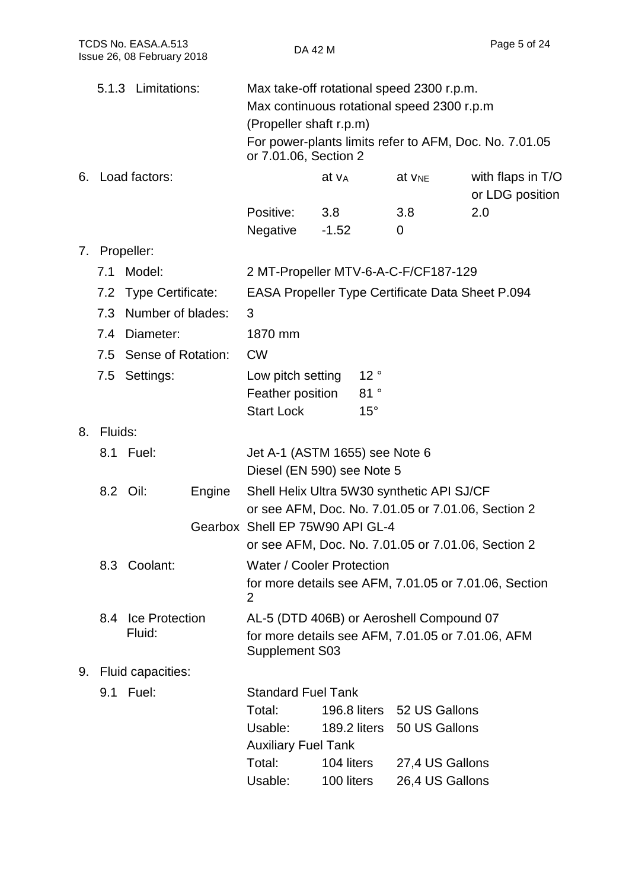| TCDS No. EASA.A.513<br>Issue 26, 08 February 2018 |            | DA 42 M                      |        |                                                                                                                                             | Page 5 of 24      |                            |                                                                                                |                                                         |
|---------------------------------------------------|------------|------------------------------|--------|---------------------------------------------------------------------------------------------------------------------------------------------|-------------------|----------------------------|------------------------------------------------------------------------------------------------|---------------------------------------------------------|
|                                                   |            | 5.1.3 Limitations:           |        | Max take-off rotational speed 2300 r.p.m.<br>Max continuous rotational speed 2300 r.p.m<br>(Propeller shaft r.p.m)<br>or 7.01.06, Section 2 |                   |                            |                                                                                                | For power-plants limits refer to AFM, Doc. No. 7.01.05  |
|                                                   |            | 6. Load factors:             |        |                                                                                                                                             | at v <sub>A</sub> |                            | at V <sub>NE</sub>                                                                             | with flaps in T/O<br>or LDG position                    |
|                                                   |            |                              |        | Positive:<br>Negative                                                                                                                       | 3.8<br>$-1.52$    |                            | 3.8<br>0                                                                                       | 2.0                                                     |
|                                                   |            | 7. Propeller:                |        |                                                                                                                                             |                   |                            |                                                                                                |                                                         |
|                                                   | 7.1        | Model:                       |        | 2 MT-Propeller MTV-6-A-C-F/CF187-129                                                                                                        |                   |                            |                                                                                                |                                                         |
|                                                   |            | 7.2 Type Certificate:        |        |                                                                                                                                             |                   |                            |                                                                                                | <b>EASA Propeller Type Certificate Data Sheet P.094</b> |
|                                                   |            | 7.3 Number of blades:        |        | 3                                                                                                                                           |                   |                            |                                                                                                |                                                         |
|                                                   |            | 7.4 Diameter:                |        | 1870 mm                                                                                                                                     |                   |                            |                                                                                                |                                                         |
|                                                   |            | 7.5 Sense of Rotation:       |        | <b>CW</b>                                                                                                                                   |                   |                            |                                                                                                |                                                         |
|                                                   |            | 7.5 Settings:                |        | Low pitch setting<br>Feather position<br><b>Start Lock</b>                                                                                  |                   | 12°<br>81°<br>$15^{\circ}$ |                                                                                                |                                                         |
|                                                   | 8. Fluids: |                              |        |                                                                                                                                             |                   |                            |                                                                                                |                                                         |
|                                                   |            | 8.1 Fuel:                    |        | Jet A-1 (ASTM 1655) see Note 6<br>Diesel (EN 590) see Note 5                                                                                |                   |                            |                                                                                                |                                                         |
|                                                   |            | 8.2 Oil:                     | Engine | Shell Helix Ultra 5W30 synthetic API SJ/CF                                                                                                  |                   |                            |                                                                                                | or see AFM, Doc. No. 7.01.05 or 7.01.06, Section 2      |
|                                                   |            |                              |        | Gearbox Shell EP 75W90 API GL-4                                                                                                             |                   |                            |                                                                                                |                                                         |
|                                                   |            |                              |        |                                                                                                                                             |                   |                            |                                                                                                | or see AFM, Doc. No. 7.01.05 or 7.01.06, Section 2      |
|                                                   |            | 8.3 Coolant:                 |        | <b>Water / Cooler Protection</b>                                                                                                            |                   |                            |                                                                                                |                                                         |
|                                                   |            |                              |        | $\mathbf{2}$                                                                                                                                |                   |                            |                                                                                                | for more details see AFM, 7.01.05 or 7.01.06, Section   |
|                                                   |            | 8.4 Ice Protection<br>Fluid: |        | AL-5 (DTD 406B) or Aeroshell Compound 07<br>Supplement S03                                                                                  |                   |                            |                                                                                                | for more details see AFM, 7.01.05 or 7.01.06, AFM       |
|                                                   |            | 9. Fluid capacities:         |        |                                                                                                                                             |                   |                            |                                                                                                |                                                         |
|                                                   |            | 9.1 Fuel:                    |        | <b>Standard Fuel Tank</b><br>Total:<br>Usable:<br><b>Auxiliary Fuel Tank</b><br>Total:<br>Usable:                                           | 100 liters        | 104 liters                 | 196.8 liters 52 US Gallons<br>189.2 liters 50 US Gallons<br>27,4 US Gallons<br>26,4 US Gallons |                                                         |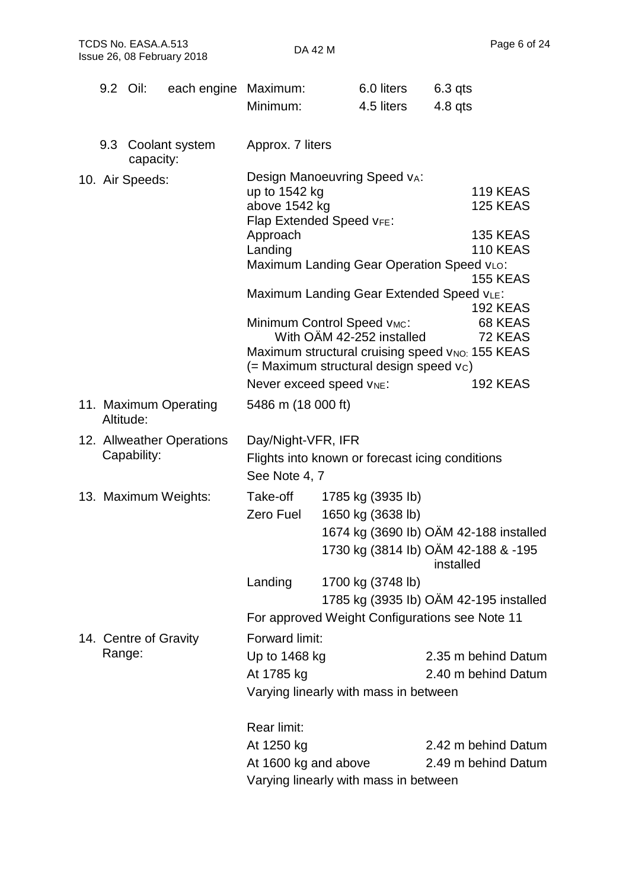|     | 9.2 Oil:              | each engine Maximum:      |                      | 6.0 liters                                      | $6.3$ qts                                       |  |
|-----|-----------------------|---------------------------|----------------------|-------------------------------------------------|-------------------------------------------------|--|
|     |                       |                           | Minimum:             | 4.5 liters                                      | $4.8$ qts                                       |  |
| 9.3 | capacity:             | Coolant system            | Approx. 7 liters     |                                                 |                                                 |  |
|     | 10. Air Speeds:       |                           |                      | Design Manoeuvring Speed vA:                    |                                                 |  |
|     |                       |                           | up to 1542 kg        |                                                 | <b>119 KEAS</b>                                 |  |
|     |                       |                           | above 1542 kg        | Flap Extended Speed VFE:                        | <b>125 KEAS</b>                                 |  |
|     |                       |                           | Approach             |                                                 | <b>135 KEAS</b>                                 |  |
|     |                       |                           | Landing              |                                                 | <b>110 KEAS</b>                                 |  |
|     |                       |                           |                      | Maximum Landing Gear Operation Speed vLo:       |                                                 |  |
|     |                       |                           |                      |                                                 | <b>155 KEAS</b>                                 |  |
|     |                       |                           |                      | Maximum Landing Gear Extended Speed VLE:        | <b>192 KEAS</b>                                 |  |
|     |                       |                           |                      | Minimum Control Speed VMC:                      | 68 KEAS                                         |  |
|     |                       |                           |                      | With OAM 42-252 installed                       | 72 KEAS                                         |  |
|     |                       |                           |                      |                                                 | Maximum structural cruising speed VNO: 155 KEAS |  |
|     |                       |                           |                      | (= Maximum structural design speed vc)          |                                                 |  |
|     |                       |                           |                      | Never exceed speed VNE:                         | <b>192 KEAS</b>                                 |  |
|     | Altitude:             | 11. Maximum Operating     | 5486 m (18 000 ft)   |                                                 |                                                 |  |
|     |                       | 12. Allweather Operations | Day/Night-VFR, IFR   |                                                 |                                                 |  |
|     | Capability:           |                           |                      | Flights into known or forecast icing conditions |                                                 |  |
|     |                       |                           | See Note 4, 7        |                                                 |                                                 |  |
|     |                       | 13. Maximum Weights:      | Take-off             | 1785 kg (3935 lb)                               |                                                 |  |
|     |                       |                           | Zero Fuel            | 1650 kg (3638 lb)                               |                                                 |  |
|     |                       |                           |                      |                                                 | 1674 kg (3690 lb) OAM 42-188 installed          |  |
|     |                       |                           |                      |                                                 | 1730 kg (3814 lb) OÄM 42-188 & -195             |  |
|     |                       |                           |                      |                                                 | installed                                       |  |
|     |                       |                           | Landing              | 1700 kg (3748 lb)                               |                                                 |  |
|     |                       |                           |                      |                                                 | 1785 kg (3935 lb) OAM 42-195 installed          |  |
|     |                       |                           |                      | For approved Weight Configurations see Note 11  |                                                 |  |
|     | 14. Centre of Gravity |                           | Forward limit:       |                                                 |                                                 |  |
|     | Range:                |                           | Up to 1468 kg        |                                                 | 2.35 m behind Datum                             |  |
|     |                       |                           | At 1785 kg           |                                                 | 2.40 m behind Datum                             |  |
|     |                       |                           |                      | Varying linearly with mass in between           |                                                 |  |
|     |                       |                           | Rear limit:          |                                                 |                                                 |  |
|     |                       |                           | At 1250 kg           |                                                 | 2.42 m behind Datum                             |  |
|     |                       |                           | At 1600 kg and above |                                                 | 2.49 m behind Datum                             |  |
|     |                       |                           |                      | Varying linearly with mass in between           |                                                 |  |
|     |                       |                           |                      |                                                 |                                                 |  |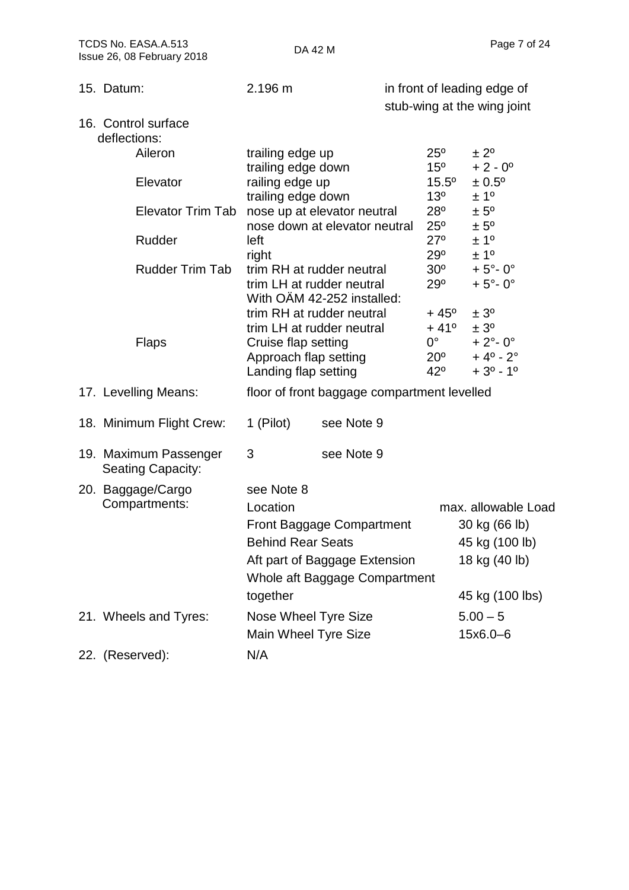| Issue 26, 08 February 2018                        |                                                                      | DA 44 M                                                                                     |                                                                               |                                                                                                               |
|---------------------------------------------------|----------------------------------------------------------------------|---------------------------------------------------------------------------------------------|-------------------------------------------------------------------------------|---------------------------------------------------------------------------------------------------------------|
| 15. Datum:                                        | 2.196 m                                                              |                                                                                             |                                                                               | in front of leading edge of<br>stub-wing at the wing joint                                                    |
| 16. Control surface<br>deflections:               |                                                                      |                                                                                             |                                                                               |                                                                                                               |
| Aileron                                           | trailing edge up                                                     |                                                                                             | $25^{\circ}$                                                                  | ± 2 <sup>o</sup>                                                                                              |
| Elevator                                          | trailing edge down<br>railing edge up                                |                                                                                             | $15^{\circ}$<br>$15.5^{\circ}$                                                | $+2 - 0^{\circ}$<br>$± 0.5^{\circ}$                                                                           |
| <b>Elevator Trim Tab</b>                          | trailing edge down                                                   | nose up at elevator neutral                                                                 | 13 <sup>o</sup><br>$28^{\circ}$                                               | ± 1 <sup>°</sup><br>$± 5^{\circ}$                                                                             |
|                                                   |                                                                      | nose down at elevator neutral                                                               | $25^{\circ}$                                                                  | $± 5^{\circ}$                                                                                                 |
| Rudder                                            | left                                                                 |                                                                                             | $27^\circ$                                                                    | ± 1 <sup>o</sup>                                                                                              |
| <b>Rudder Trim Tab</b>                            | right                                                                | trim RH at rudder neutral<br>trim LH at rudder neutral<br>With OAM 42-252 installed:        | $29^{\circ}$<br>$30^{\circ}$<br>29°                                           | ±1 <sup>0</sup><br>$+5^\circ$ -0°<br>$+5^\circ$ -0°                                                           |
| <b>Flaps</b>                                      | Cruise flap setting<br>Approach flap setting<br>Landing flap setting | trim RH at rudder neutral<br>trim LH at rudder neutral                                      | $+45^{\circ}$<br>$+41^{\circ}$<br>$0^{\circ}$<br>$20^{\circ}$<br>$42^{\circ}$ | ± 3 <sup>o</sup><br>± 3 <sup>o</sup><br>$+ 2^{\circ} - 0^{\circ}$<br>$+4^{\circ} - 2^{\circ}$<br>$+3^0 - 1^0$ |
| 17. Levelling Means:                              |                                                                      | floor of front baggage compartment levelled                                                 |                                                                               |                                                                                                               |
| 18. Minimum Flight Crew:                          | 1 (Pilot)                                                            | see Note 9                                                                                  |                                                                               |                                                                                                               |
| 19. Maximum Passenger<br><b>Seating Capacity:</b> | 3                                                                    | see Note 9                                                                                  |                                                                               |                                                                                                               |
| 20. Baggage/Cargo<br>Compartments:                | see Note 8<br>Location<br><b>Behind Rear Seats</b><br>together       | Front Baggage Compartment<br>Aft part of Baggage Extension<br>Whole aft Baggage Compartment |                                                                               | max. allowable Load<br>30 kg (66 lb)<br>45 kg (100 lb)<br>18 kg (40 lb)<br>45 kg (100 lbs)                    |
| 21. Wheels and Tyres:                             | Nose Wheel Tyre Size                                                 |                                                                                             |                                                                               | $5.00 - 5$                                                                                                    |
|                                                   | Main Wheel Tyre Size                                                 |                                                                                             |                                                                               | 15x6.0-6                                                                                                      |
| 22. (Reserved):                                   | N/A                                                                  |                                                                                             |                                                                               |                                                                                                               |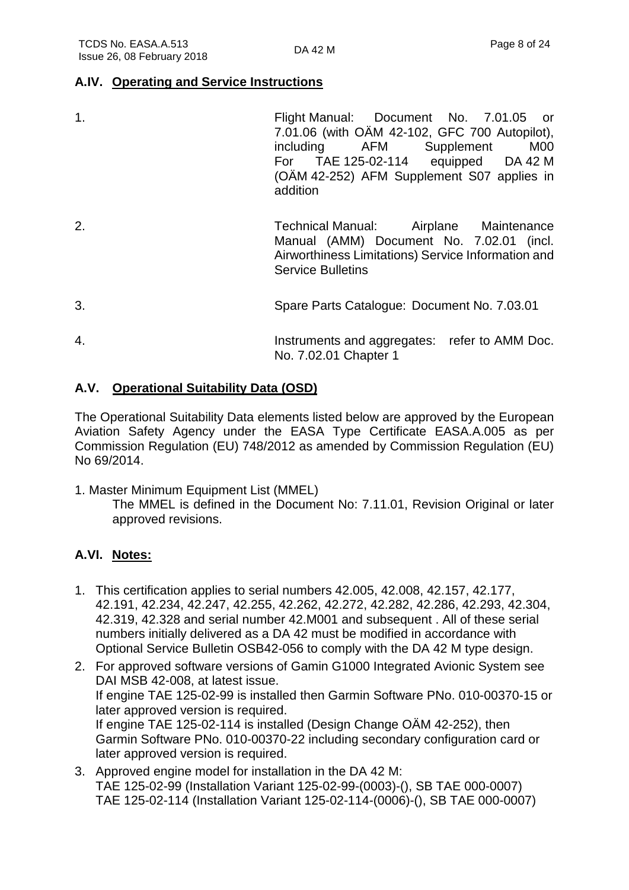#### **A.IV. Operating and Service Instructions**

| 1. | Flight Manual: Document No. 7.01.05 or<br>7.01.06 (with OAM 42-102, GFC 700 Autopilot),<br>including AFM Supplement<br>M <sub>0</sub><br>For TAE 125-02-114 equipped DA 42 M<br>(OAM 42-252) AFM Supplement S07 applies in<br>addition |
|----|----------------------------------------------------------------------------------------------------------------------------------------------------------------------------------------------------------------------------------------|
| 2. | Technical Manual: Airplane Maintenance<br>Manual (AMM) Document No. 7.02.01 (incl.<br>Airworthiness Limitations) Service Information and<br><b>Service Bulletins</b>                                                                   |
| 3. | Spare Parts Catalogue: Document No. 7.03.01                                                                                                                                                                                            |
| 4. | Instruments and aggregates: refer to AMM Doc.<br>No. 7.02.01 Chapter 1                                                                                                                                                                 |

#### **A.V. Operational Suitability Data (OSD)**

The Operational Suitability Data elements listed below are approved by the European Aviation Safety Agency under the EASA Type Certificate EASA.A.005 as per Commission Regulation (EU) 748/2012 as amended by Commission Regulation (EU) No 69/2014.

1. Master Minimum Equipment List (MMEL) The MMEL is defined in the Document No: 7.11.01, Revision Original or later approved revisions.

#### **A.VI. Notes:**

- 1. This certification applies to serial numbers 42.005, 42.008, 42.157, 42.177, 42.191, 42.234, 42.247, 42.255, 42.262, 42.272, 42.282, 42.286, 42.293, 42.304, 42.319, 42.328 and serial number 42.M001 and subsequent . All of these serial numbers initially delivered as a DA 42 must be modified in accordance with Optional Service Bulletin OSB42-056 to comply with the DA 42 M type design.
- 2. For approved software versions of Gamin G1000 Integrated Avionic System see DAI MSB 42-008, at latest issue. If engine TAE 125-02-99 is installed then Garmin Software PNo. 010-00370-15 or later approved version is required. If engine TAE 125-02-114 is installed (Design Change OÄM 42-252), then Garmin Software PNo. 010-00370-22 including secondary configuration card or later approved version is required.
- 3. Approved engine model for installation in the DA 42 M: TAE 125-02-99 (Installation Variant 125-02-99-(0003)-(), SB TAE 000-0007) TAE 125-02-114 (Installation Variant 125-02-114-(0006)-(), SB TAE 000-0007)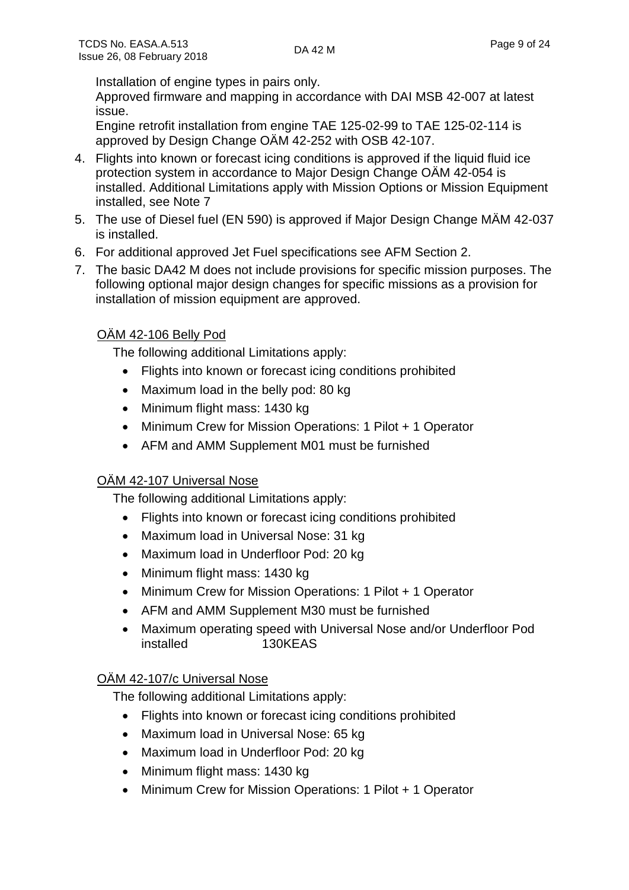Installation of engine types in pairs only.

Approved firmware and mapping in accordance with DAI MSB 42-007 at latest issue.

Engine retrofit installation from engine TAE 125-02-99 to TAE 125-02-114 is approved by Design Change OÄM 42-252 with OSB 42-107.

- 4. Flights into known or forecast icing conditions is approved if the liquid fluid ice protection system in accordance to Major Design Change OÄM 42-054 is installed. Additional Limitations apply with Mission Options or Mission Equipment installed, see Note 7
- 5. The use of Diesel fuel (EN 590) is approved if Major Design Change MÄM 42-037 is installed.
- 6. For additional approved Jet Fuel specifications see AFM Section 2.
- 7. The basic DA42 M does not include provisions for specific mission purposes. The following optional major design changes for specific missions as a provision for installation of mission equipment are approved.

#### OÄM 42-106 Belly Pod

The following additional Limitations apply:

- Flights into known or forecast icing conditions prohibited
- Maximum load in the belly pod: 80 kg
- Minimum flight mass: 1430 kg
- Minimum Crew for Mission Operations: 1 Pilot + 1 Operator
- AFM and AMM Supplement M01 must be furnished

#### OÄM 42-107 Universal Nose

The following additional Limitations apply:

- Flights into known or forecast icing conditions prohibited
- Maximum load in Universal Nose: 31 kg
- Maximum load in Underfloor Pod: 20 kg
- Minimum flight mass: 1430 kg
- Minimum Crew for Mission Operations: 1 Pilot + 1 Operator
- AFM and AMM Supplement M30 must be furnished
- Maximum operating speed with Universal Nose and/or Underfloor Pod installed 130KEAS

#### OÄM 42-107/c Universal Nose

The following additional Limitations apply:

- Flights into known or forecast icing conditions prohibited
- Maximum load in Universal Nose: 65 kg
- Maximum load in Underfloor Pod: 20 kg
- Minimum flight mass: 1430 kg
- Minimum Crew for Mission Operations: 1 Pilot + 1 Operator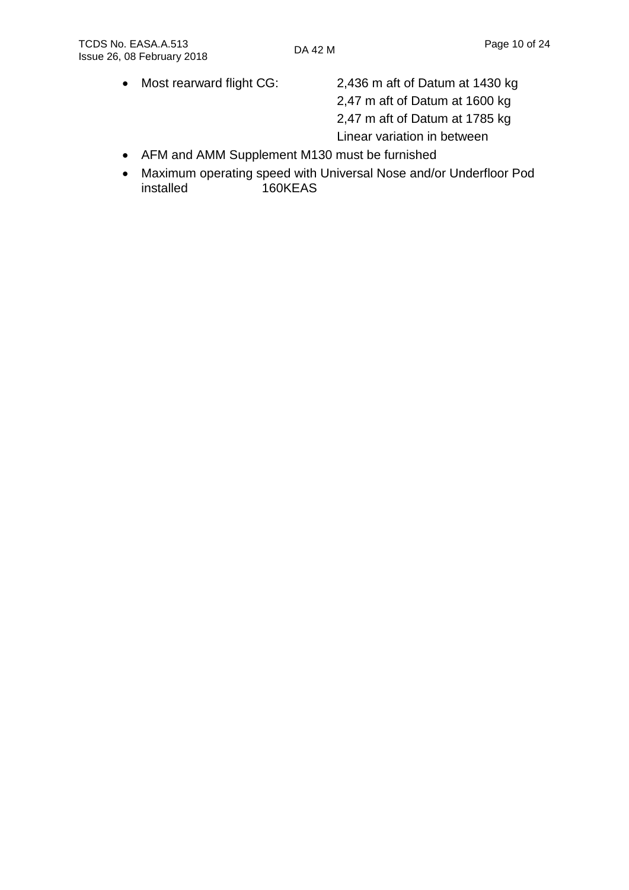• Most rearward flight CG: 2,436 m aft of Datum at 1430 kg 2,47 m aft of Datum at 1600 kg 2,47 m aft of Datum at 1785 kg Linear variation in between

- AFM and AMM Supplement M130 must be furnished
- Maximum operating speed with Universal Nose and/or Underfloor Pod installed 160KEAS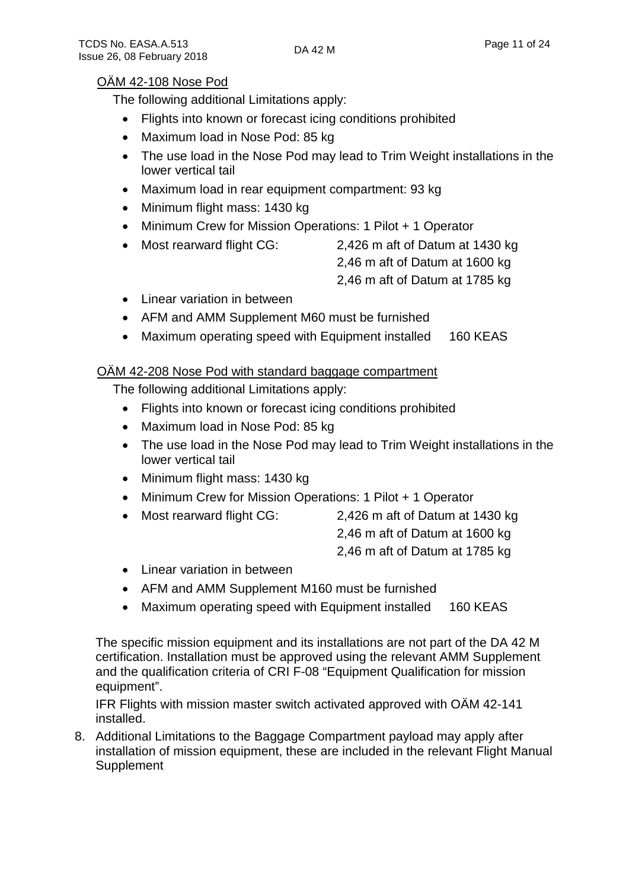#### OÄM 42-108 Nose Pod

The following additional Limitations apply:

- Flights into known or forecast icing conditions prohibited
- Maximum load in Nose Pod: 85 kg
- The use load in the Nose Pod may lead to Trim Weight installations in the lower vertical tail
- Maximum load in rear equipment compartment: 93 kg
- Minimum flight mass: 1430 kg
- Minimum Crew for Mission Operations: 1 Pilot + 1 Operator
- Most rearward flight CG: 2,426 m aft of Datum at 1430 kg
	- 2,46 m aft of Datum at 1600 kg
	- 2,46 m aft of Datum at 1785 kg
- Linear variation in between
- AFM and AMM Supplement M60 must be furnished
- Maximum operating speed with Equipment installed 160 KEAS

#### OÄM 42-208 Nose Pod with standard baggage compartment

The following additional Limitations apply:

- Flights into known or forecast icing conditions prohibited
- Maximum load in Nose Pod: 85 kg
- The use load in the Nose Pod may lead to Trim Weight installations in the lower vertical tail
- Minimum flight mass: 1430 kg
- Minimum Crew for Mission Operations: 1 Pilot + 1 Operator
- Most rearward flight CG: 2,426 m aft of Datum at 1430 kg
	- 2,46 m aft of Datum at 1600 kg
	- 2,46 m aft of Datum at 1785 kg
- Linear variation in between
- AFM and AMM Supplement M160 must be furnished
- Maximum operating speed with Equipment installed 160 KEAS

The specific mission equipment and its installations are not part of the DA 42 M certification. Installation must be approved using the relevant AMM Supplement and the qualification criteria of CRI F-08 "Equipment Qualification for mission equipment".

IFR Flights with mission master switch activated approved with OÄM 42-141 installed.

8. Additional Limitations to the Baggage Compartment payload may apply after installation of mission equipment, these are included in the relevant Flight Manual **Supplement**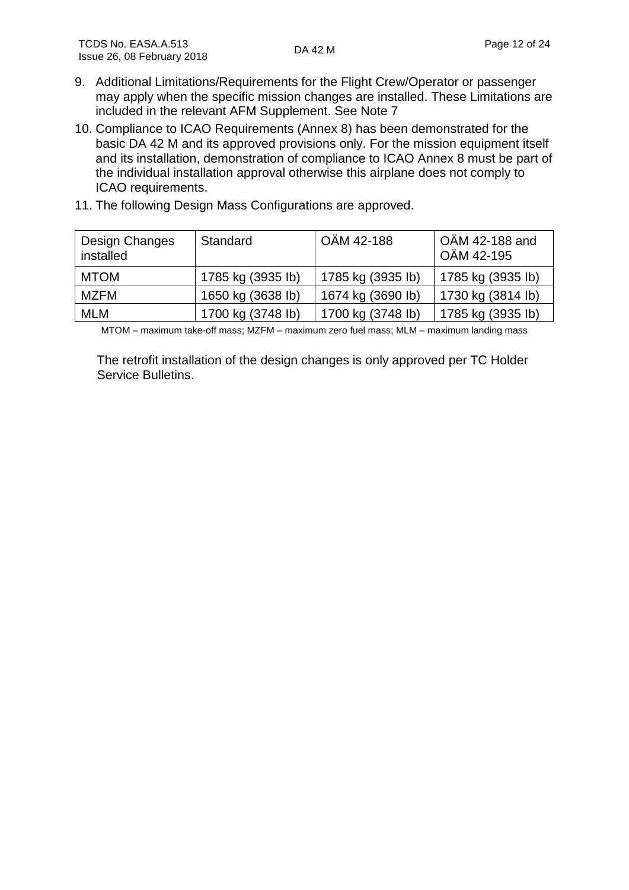- 9. Additional Limitations/Requirements for the Flight Crew/Operator or passenger may apply when the specific mission changes are installed. These Limitations are included in the relevant AFM Supplement. See Note 7
- 10. Compliance to ICAO Requirements (Annex 8) has been demonstrated for the basic DA 42 M and its approved provisions only. For the mission equipment itself and its installation, demonstration of compliance to ICAO Annex 8 must be part of the individual installation approval otherwise this airplane does not comply to ICAO requirements.
- 11. The following Design Mass Configurations are approved.

| Design Changes<br>installed | Standard          | OÄM 42-188        | OÄM 42-188 and<br>OÄM 42-195 |
|-----------------------------|-------------------|-------------------|------------------------------|
| <b>MTOM</b>                 | 1785 kg (3935 lb) | 1785 kg (3935 lb) | 1785 kg (3935 lb)            |
| MZFM                        | 1650 kg (3638 lb) | 1674 kg (3690 lb) | 1730 kg (3814 lb)            |
| <b>MLM</b>                  | 1700 kg (3748 lb) | 1700 kg (3748 lb) | 1785 kg (3935 lb)            |

MTOM – maximum take-off mass; MZFM – maximum zero fuel mass; MLM – maximum landing mass

The retrofit installation of the design changes is only approved per TC Holder Service Bulletins.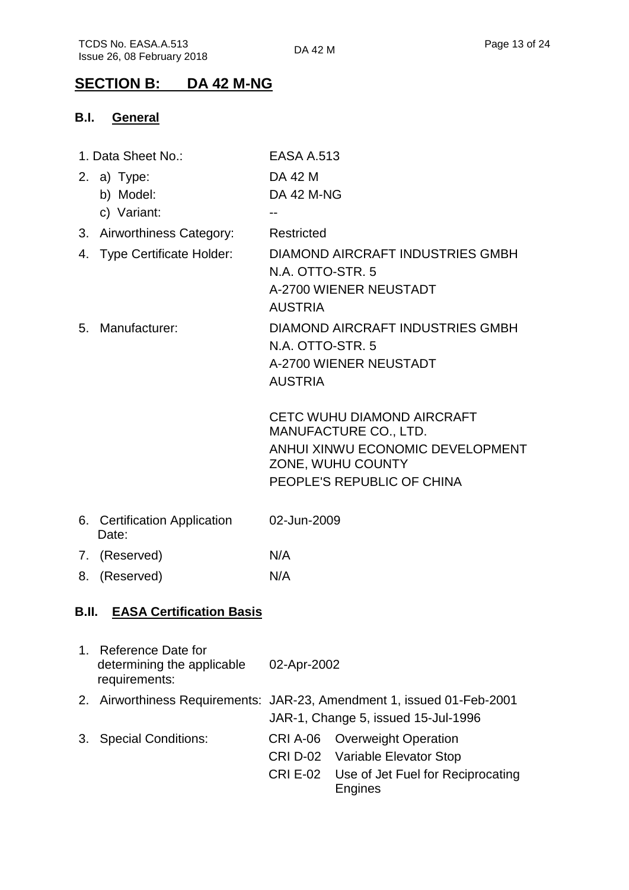## **SECTION B: DA 42 M-NG**

### **B.I. General**

|    | 1. Data Sheet No.:                          | <b>EASA A.513</b> |                                                                        |
|----|---------------------------------------------|-------------------|------------------------------------------------------------------------|
|    | 2. a) Type:                                 | DA 42 M           |                                                                        |
|    | b) Model:                                   | <b>DA 42 M-NG</b> |                                                                        |
|    | c) Variant:                                 |                   |                                                                        |
|    | 3. Airworthiness Category:                  | Restricted        |                                                                        |
|    | 4. Type Certificate Holder:                 |                   | DIAMOND AIRCRAFT INDUSTRIES GMBH                                       |
|    |                                             | N.A. OTTO-STR. 5  |                                                                        |
|    |                                             |                   | A-2700 WIENER NEUSTADT                                                 |
|    |                                             | <b>AUSTRIA</b>    |                                                                        |
|    | 5. Manufacturer:                            |                   | <b>DIAMOND AIRCRAFT INDUSTRIES GMBH</b>                                |
|    |                                             | N.A. OTTO-STR. 5  |                                                                        |
|    |                                             |                   | A-2700 WIENER NEUSTADT                                                 |
|    |                                             | <b>AUSTRIA</b>    |                                                                        |
|    |                                             |                   | <b>CETC WUHU DIAMOND AIRCRAFT</b>                                      |
|    |                                             |                   | <b>MANUFACTURE CO., LTD.</b>                                           |
|    |                                             |                   | ANHUI XINWU ECONOMIC DEVELOPMENT                                       |
|    |                                             |                   | ZONE, WUHU COUNTY                                                      |
|    |                                             |                   | PEOPLE'S REPUBLIC OF CHINA                                             |
|    | 6. Certification Application<br>Date:       | 02-Jun-2009       |                                                                        |
|    | 7. (Reserved)                               | N/A               |                                                                        |
|    | 8. (Reserved)                               | N/A               |                                                                        |
|    |                                             |                   |                                                                        |
|    | <b>B.II. EASA Certification Basis</b>       |                   |                                                                        |
|    | 1. Reference Date for                       |                   |                                                                        |
|    | determining the applicable<br>requirements: | 02-Apr-2002       |                                                                        |
|    |                                             |                   | 2. Airworthiness Requirements: JAR-23, Amendment 1, issued 01-Feb-2001 |
|    |                                             |                   | JAR-1, Change 5, issued 15-Jul-1996                                    |
| 3. | <b>Special Conditions:</b>                  | <b>CRI A-06</b>   | <b>Overweight Operation</b>                                            |
|    |                                             |                   | <b>CRI D-02</b> Variable Elevator Stop                                 |
|    |                                             |                   | CRI E-02 Use of Jet Fuel for Reciprocating                             |
|    |                                             |                   | <b>Engines</b>                                                         |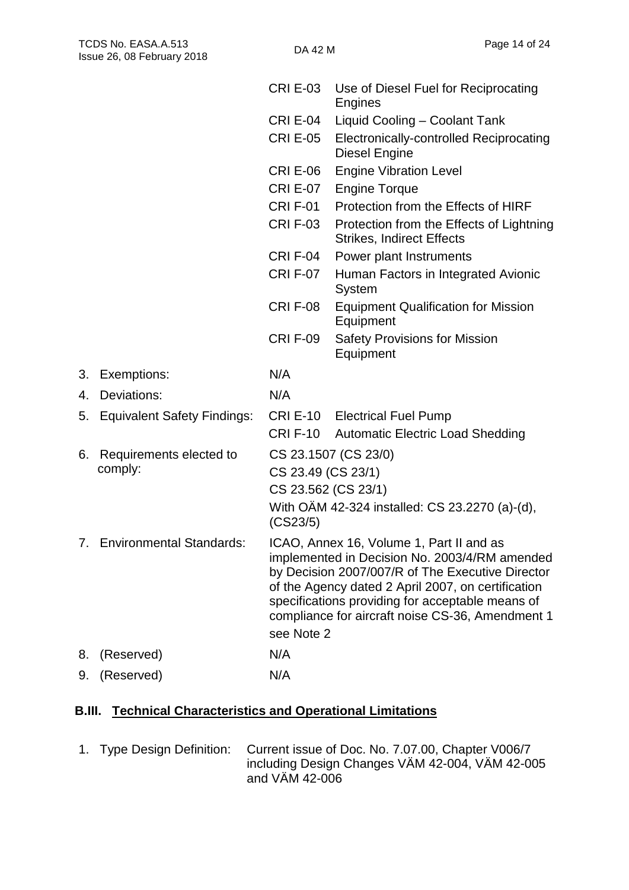|    |                                | <b>CRI E-03</b>                                                                                                                                                                                                                                                                                             | Use of Diesel Fuel for Reciprocating<br><b>Engines</b>                       |  |  |  |
|----|--------------------------------|-------------------------------------------------------------------------------------------------------------------------------------------------------------------------------------------------------------------------------------------------------------------------------------------------------------|------------------------------------------------------------------------------|--|--|--|
|    |                                | <b>CRI E-04</b>                                                                                                                                                                                                                                                                                             | Liquid Cooling - Coolant Tank                                                |  |  |  |
|    |                                | <b>CRI E-05</b>                                                                                                                                                                                                                                                                                             | <b>Electronically-controlled Reciprocating</b><br>Diesel Engine              |  |  |  |
|    |                                | <b>CRI E-06</b>                                                                                                                                                                                                                                                                                             | <b>Engine Vibration Level</b>                                                |  |  |  |
|    |                                | <b>CRI E-07</b>                                                                                                                                                                                                                                                                                             | <b>Engine Torque</b>                                                         |  |  |  |
|    |                                | <b>CRI F-01</b>                                                                                                                                                                                                                                                                                             | Protection from the Effects of HIRF                                          |  |  |  |
|    |                                | <b>CRI F-03</b>                                                                                                                                                                                                                                                                                             | Protection from the Effects of Lightning<br><b>Strikes, Indirect Effects</b> |  |  |  |
|    |                                | <b>CRI F-04</b>                                                                                                                                                                                                                                                                                             | Power plant Instruments                                                      |  |  |  |
|    |                                | <b>CRIF-07</b>                                                                                                                                                                                                                                                                                              | Human Factors in Integrated Avionic<br>System                                |  |  |  |
|    |                                | <b>CRIF-08</b>                                                                                                                                                                                                                                                                                              | <b>Equipment Qualification for Mission</b><br>Equipment                      |  |  |  |
|    |                                | <b>CRI F-09</b>                                                                                                                                                                                                                                                                                             | <b>Safety Provisions for Mission</b><br>Equipment                            |  |  |  |
| 3. | Exemptions:                    | N/A                                                                                                                                                                                                                                                                                                         |                                                                              |  |  |  |
| 4. | Deviations:                    | N/A                                                                                                                                                                                                                                                                                                         |                                                                              |  |  |  |
|    | 5. Equivalent Safety Findings: |                                                                                                                                                                                                                                                                                                             | <b>CRI E-10</b> Electrical Fuel Pump                                         |  |  |  |
|    |                                |                                                                                                                                                                                                                                                                                                             | CRI F-10 Automatic Electric Load Shedding                                    |  |  |  |
| 6. | Requirements elected to        |                                                                                                                                                                                                                                                                                                             | CS 23.1507 (CS 23/0)                                                         |  |  |  |
|    | comply:                        | CS 23.49 (CS 23/1)                                                                                                                                                                                                                                                                                          |                                                                              |  |  |  |
|    |                                |                                                                                                                                                                                                                                                                                                             | CS 23.562 (CS 23/1)                                                          |  |  |  |
|    |                                | (CS23/5)                                                                                                                                                                                                                                                                                                    | With OÄM 42-324 installed: CS 23.2270 (a)-(d),                               |  |  |  |
|    | 7. Environmental Standards:    | ICAO, Annex 16, Volume 1, Part II and as<br>implemented in Decision No. 2003/4/RM amended<br>by Decision 2007/007/R of The Executive Director<br>of the Agency dated 2 April 2007, on certification<br>specifications providing for acceptable means of<br>compliance for aircraft noise CS-36, Amendment 1 |                                                                              |  |  |  |
|    |                                | see Note 2                                                                                                                                                                                                                                                                                                  |                                                                              |  |  |  |
| 8. | (Reserved)                     | N/A                                                                                                                                                                                                                                                                                                         |                                                                              |  |  |  |
| 9. | (Reserved)                     | N/A                                                                                                                                                                                                                                                                                                         |                                                                              |  |  |  |

## **B.III. Technical Characteristics and Operational Limitations**

1. Type Design Definition: Current issue of Doc. No. 7.07.00, Chapter V006/7 including Design Changes VÄM 42-004, VÄM 42-005 and VÄM 42-006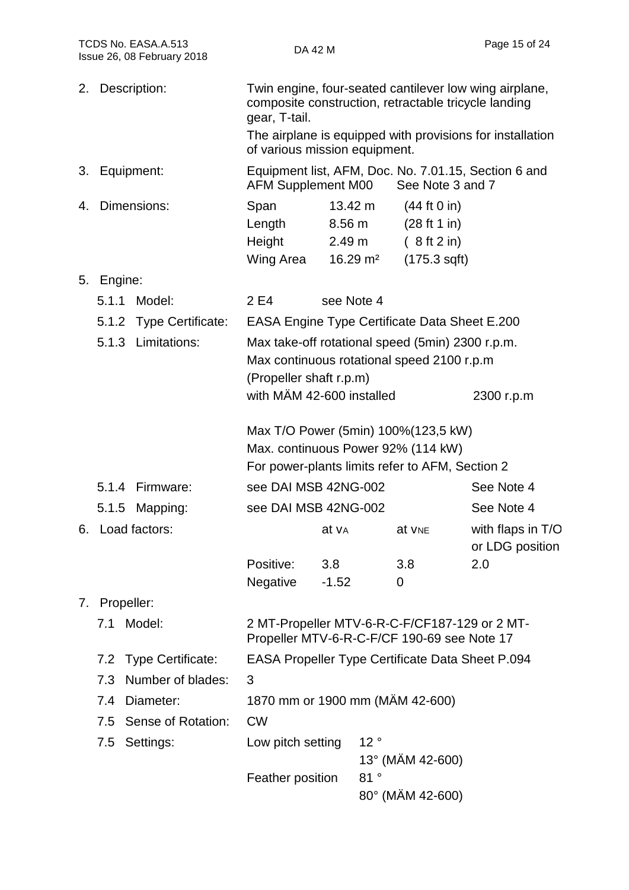| TCDS No. EASA.A.513<br>Issue 26, 08 February 2018 |                         | DA 42 M                                                                                                                                                              |                                                                                                                                        | Page 15 of 24                                             |  |
|---------------------------------------------------|-------------------------|----------------------------------------------------------------------------------------------------------------------------------------------------------------------|----------------------------------------------------------------------------------------------------------------------------------------|-----------------------------------------------------------|--|
| 2.                                                | Description:            | gear, T-tail.<br>of various mission equipment.                                                                                                                       | Twin engine, four-seated cantilever low wing airplane,<br>composite construction, retractable tricycle landing                         | The airplane is equipped with provisions for installation |  |
| 3.                                                | Equipment:              | <b>AFM Supplement M00</b>                                                                                                                                            | Equipment list, AFM, Doc. No. 7.01.15, Section 6 and<br>See Note 3 and 7                                                               |                                                           |  |
| 4.                                                | Dimensions:             | Span<br>Length<br>Height<br>Wing Area                                                                                                                                | 13.42 m<br>(44 ft 0 in)<br>(28 ft 1 in)<br>$8.56 \text{ m}$<br>2.49 <sub>m</sub><br>(8 ft 2 in)<br>$16.29 \text{ m}^2$<br>(175.3 sqft) |                                                           |  |
| 5.                                                | Engine:                 |                                                                                                                                                                      |                                                                                                                                        |                                                           |  |
|                                                   | 5.1.1<br>Model:         | 2 E4                                                                                                                                                                 | see Note 4                                                                                                                             |                                                           |  |
|                                                   | 5.1.2 Type Certificate: |                                                                                                                                                                      | <b>EASA Engine Type Certificate Data Sheet E.200</b>                                                                                   |                                                           |  |
|                                                   | 5.1.3 Limitations:      | Max take-off rotational speed (5min) 2300 r.p.m.<br>Max continuous rotational speed 2100 r.p.m<br>(Propeller shaft r.p.m)<br>with MÄM 42-600 installed<br>2300 r.p.m |                                                                                                                                        |                                                           |  |
|                                                   |                         |                                                                                                                                                                      | Max T/O Power (5min) 100% (123,5 kW)<br>Max. continuous Power 92% (114 kW)<br>For power-plants limits refer to AFM, Section 2          |                                                           |  |
|                                                   | 5.1.4 Firmware:         | see DAI MSB 42NG-002                                                                                                                                                 |                                                                                                                                        | See Note 4                                                |  |
|                                                   | 5.1.5<br>Mapping:       | see DAI MSB 42NG-002                                                                                                                                                 |                                                                                                                                        | See Note 4                                                |  |
|                                                   | 6. Load factors:        | at v <sub>A</sub>                                                                                                                                                    | at V <sub>NE</sub>                                                                                                                     | with flaps in T/O<br>or LDG position                      |  |
|                                                   |                         | Positive:<br>3.8<br>Negative<br>$-1.52$                                                                                                                              | 3.8<br>0                                                                                                                               | 2.0                                                       |  |
|                                                   | 7. Propeller:           |                                                                                                                                                                      |                                                                                                                                        |                                                           |  |
|                                                   | 7.1 Model:              |                                                                                                                                                                      | 2 MT-Propeller MTV-6-R-C-F/CF187-129 or 2 MT-<br>Propeller MTV-6-R-C-F/CF 190-69 see Note 17                                           |                                                           |  |
|                                                   | 7.2 Type Certificate:   |                                                                                                                                                                      | <b>EASA Propeller Type Certificate Data Sheet P.094</b>                                                                                |                                                           |  |
|                                                   | 7.3 Number of blades:   | 3                                                                                                                                                                    |                                                                                                                                        |                                                           |  |
|                                                   | 7.4 Diameter:           |                                                                                                                                                                      | 1870 mm or 1900 mm (MÄM 42-600)                                                                                                        |                                                           |  |
|                                                   | 7.5 Sense of Rotation:  | <b>CW</b>                                                                                                                                                            |                                                                                                                                        |                                                           |  |
|                                                   | 7.5 Settings:           | Low pitch setting                                                                                                                                                    | 12°<br>13° (MÄM 42-600)                                                                                                                |                                                           |  |
|                                                   |                         | Feather position                                                                                                                                                     | 81°<br>80° (MÄM 42-600)                                                                                                                |                                                           |  |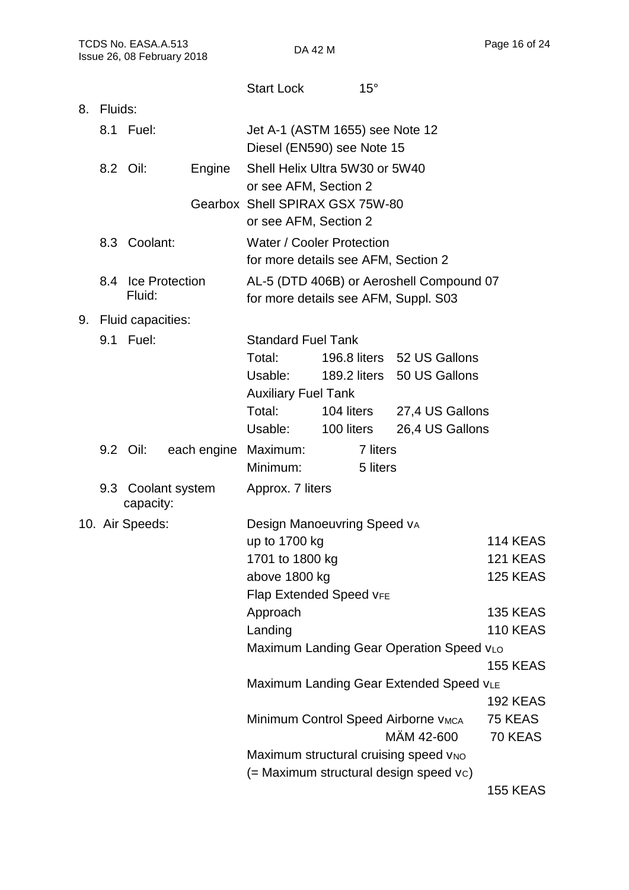|    |                                  |                    |                                                               | <b>Start Lock</b>                        | $15^{\circ}$                    |                                                   |  |                 |
|----|----------------------------------|--------------------|---------------------------------------------------------------|------------------------------------------|---------------------------------|---------------------------------------------------|--|-----------------|
| 8. | Fluids:                          |                    |                                                               |                                          |                                 |                                                   |  |                 |
|    | 8.1 Fuel:                        |                    | Jet A-1 (ASTM 1655) see Note 12<br>Diesel (EN590) see Note 15 |                                          |                                 |                                                   |  |                 |
|    | 8.2 Oil:<br>Engine               |                    |                                                               |                                          | Shell Helix Ultra 5W30 or 5W40  |                                                   |  |                 |
|    |                                  |                    |                                                               | or see AFM, Section 2                    |                                 |                                                   |  |                 |
|    |                                  |                    |                                                               |                                          | Gearbox Shell SPIRAX GSX 75W-80 |                                                   |  |                 |
|    |                                  |                    |                                                               | or see AFM, Section 2                    |                                 |                                                   |  |                 |
|    | 8.3 Coolant:                     |                    | <b>Water / Cooler Protection</b>                              |                                          |                                 |                                                   |  |                 |
|    |                                  |                    |                                                               | for more details see AFM, Section 2      |                                 |                                                   |  |                 |
|    |                                  | 8.4 Ice Protection |                                                               | AL-5 (DTD 406B) or Aeroshell Compound 07 |                                 |                                                   |  |                 |
|    | Fluid:                           |                    |                                                               | for more details see AFM, Suppl. S03     |                                 |                                                   |  |                 |
|    | 9. Fluid capacities:             |                    |                                                               |                                          |                                 |                                                   |  |                 |
|    |                                  | 9.1 Fuel:          |                                                               | <b>Standard Fuel Tank</b>                |                                 |                                                   |  |                 |
|    |                                  |                    |                                                               | Total:                                   |                                 | 196.8 liters 52 US Gallons                        |  |                 |
|    |                                  |                    |                                                               | Usable:<br><b>Auxiliary Fuel Tank</b>    |                                 | 189.2 liters 50 US Gallons                        |  |                 |
|    |                                  |                    |                                                               | Total:                                   |                                 | 104 liters 27,4 US Gallons                        |  |                 |
|    |                                  |                    |                                                               | Usable:                                  | 100 liters                      | 26,4 US Gallons                                   |  |                 |
|    | 9.2 Oil:<br>each engine Maximum: |                    |                                                               | 7 liters                                 |                                 |                                                   |  |                 |
|    |                                  |                    |                                                               | Minimum:                                 | 5 liters                        |                                                   |  |                 |
|    |                                  | capacity:          | 9.3 Coolant system                                            | Approx. 7 liters                         |                                 |                                                   |  |                 |
|    |                                  | 10. Air Speeds:    |                                                               |                                          | Design Manoeuvring Speed VA     |                                                   |  |                 |
|    |                                  |                    |                                                               | up to 1700 kg                            |                                 |                                                   |  | <b>114 KEAS</b> |
|    |                                  |                    |                                                               | 1701 to 1800 kg                          |                                 |                                                   |  | 121 KEAS        |
|    |                                  |                    |                                                               | above 1800 kg                            |                                 |                                                   |  | <b>125 KEAS</b> |
|    |                                  |                    |                                                               |                                          | <b>Flap Extended Speed VFE</b>  |                                                   |  |                 |
|    |                                  |                    |                                                               | Approach                                 |                                 |                                                   |  | <b>135 KEAS</b> |
|    |                                  |                    |                                                               | Landing                                  |                                 | Maximum Landing Gear Operation Speed VLO          |  | <b>110 KEAS</b> |
|    |                                  |                    |                                                               |                                          |                                 |                                                   |  | <b>155 KEAS</b> |
|    |                                  |                    |                                                               | Maximum Landing Gear Extended Speed VLE  |                                 |                                                   |  |                 |
|    |                                  |                    |                                                               |                                          |                                 |                                                   |  | <b>192 KEAS</b> |
|    |                                  |                    |                                                               |                                          |                                 | Minimum Control Speed Airborne VMCA               |  | 75 KEAS         |
|    |                                  |                    |                                                               |                                          |                                 | MÄM 42-600                                        |  | 70 KEAS         |
|    |                                  |                    |                                                               |                                          |                                 | Maximum structural cruising speed V <sub>NO</sub> |  |                 |
|    |                                  |                    |                                                               |                                          |                                 | (= Maximum structural design speed vc)            |  |                 |
|    |                                  |                    |                                                               |                                          |                                 |                                                   |  | <b>155 KEAS</b> |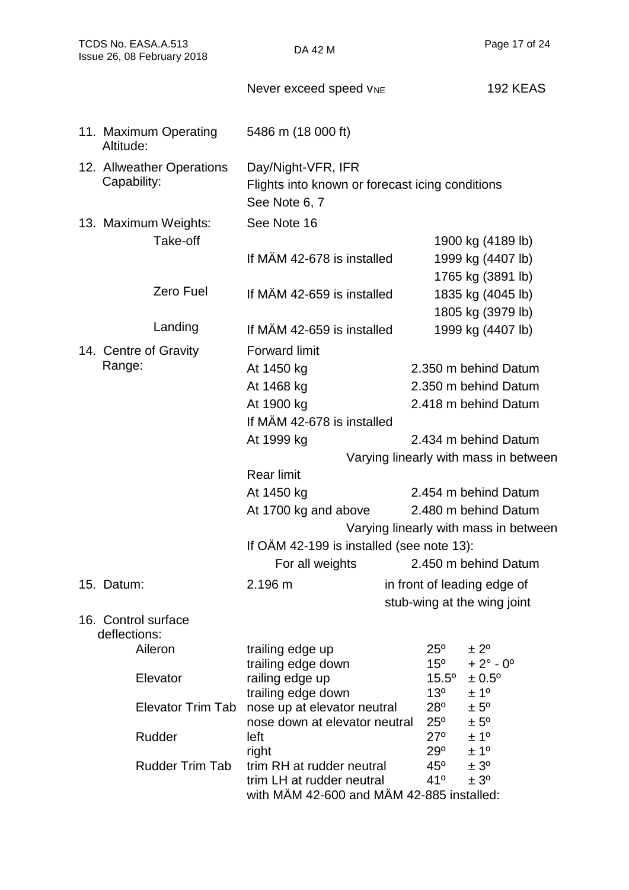| TCDS No. EASA.A.513<br>Issue 26, 08 February 2018 |                                    | DA 42 M                                                          |                              | Page 17 of 24                               |  |  |
|---------------------------------------------------|------------------------------------|------------------------------------------------------------------|------------------------------|---------------------------------------------|--|--|
|                                                   |                                    | Never exceed speed VNE                                           |                              | <b>192 KEAS</b>                             |  |  |
|                                                   | 11. Maximum Operating<br>Altitude: | 5486 m (18 000 ft)                                               |                              |                                             |  |  |
|                                                   | 12. Allweather Operations          | Day/Night-VFR, IFR                                               |                              |                                             |  |  |
|                                                   | Capability:                        | Flights into known or forecast icing conditions<br>See Note 6, 7 |                              |                                             |  |  |
|                                                   | 13. Maximum Weights:               | See Note 16                                                      |                              |                                             |  |  |
|                                                   | Take-off                           |                                                                  |                              | 1900 kg (4189 lb)                           |  |  |
|                                                   |                                    | If MÄM 42-678 is installed                                       |                              | 1999 kg (4407 lb)                           |  |  |
|                                                   |                                    |                                                                  |                              | 1765 kg (3891 lb)                           |  |  |
|                                                   | Zero Fuel                          | If MÄM 42-659 is installed                                       |                              | 1835 kg (4045 lb)                           |  |  |
|                                                   |                                    |                                                                  |                              | 1805 kg (3979 lb)                           |  |  |
|                                                   | Landing                            | If MÄM 42-659 is installed                                       |                              | 1999 kg (4407 lb)                           |  |  |
|                                                   | 14. Centre of Gravity              | <b>Forward limit</b>                                             |                              |                                             |  |  |
|                                                   | Range:                             | At 1450 kg                                                       |                              | 2.350 m behind Datum                        |  |  |
|                                                   |                                    | At 1468 kg                                                       |                              | 2.350 m behind Datum                        |  |  |
|                                                   |                                    | At 1900 kg                                                       |                              | 2.418 m behind Datum                        |  |  |
|                                                   |                                    | If MÄM 42-678 is installed                                       |                              |                                             |  |  |
|                                                   |                                    | At 1999 kg                                                       |                              | 2.434 m behind Datum                        |  |  |
|                                                   |                                    |                                                                  |                              | Varying linearly with mass in between       |  |  |
|                                                   |                                    | <b>Rear limit</b>                                                |                              |                                             |  |  |
|                                                   |                                    | At 1450 kg                                                       |                              | 2.454 m behind Datum                        |  |  |
|                                                   |                                    | At 1700 kg and above                                             |                              | 2.480 m behind Datum                        |  |  |
|                                                   |                                    | Varying linearly with mass in between                            |                              |                                             |  |  |
|                                                   |                                    | If OAM 42-199 is installed (see note 13):                        |                              |                                             |  |  |
|                                                   |                                    | For all weights                                                  |                              | 2.450 m behind Datum                        |  |  |
| 15. Datum:                                        |                                    | 2.196 m                                                          |                              | in front of leading edge of                 |  |  |
|                                                   |                                    |                                                                  |                              | stub-wing at the wing joint                 |  |  |
|                                                   | 16. Control surface                |                                                                  |                              |                                             |  |  |
|                                                   | deflections:                       |                                                                  |                              |                                             |  |  |
|                                                   | Aileron                            | trailing edge up<br>trailing edge down                           | $25^{\circ}$<br>$15^{\circ}$ | $\pm 2^{\circ}$<br>$+2^{\circ} - 0^{\circ}$ |  |  |
|                                                   | Elevator                           | railing edge up                                                  | $15.5^\circ$                 | $± 0.5^{\circ}$                             |  |  |
|                                                   |                                    | trailing edge down                                               | 13 <sup>o</sup>              | ± 1 <sup>o</sup>                            |  |  |
|                                                   | <b>Elevator Trim Tab</b>           | nose up at elevator neutral                                      | $28^{\circ}$                 | $± 5^{\circ}$                               |  |  |
|                                                   |                                    | nose down at elevator neutral                                    | $25^{\circ}$<br>$27^\circ$   | $± 5^{\circ}$<br>± 1 <sup>0</sup>           |  |  |
|                                                   | Rudder                             | left<br>right                                                    | 29°                          | ± 1 <sup>o</sup>                            |  |  |
|                                                   | <b>Rudder Trim Tab</b>             | trim RH at rudder neutral                                        | $45^{\circ}$                 | ± 3 <sup>o</sup>                            |  |  |
|                                                   |                                    | trim LH at rudder neutral                                        | 41°                          | ± 3 <sup>o</sup>                            |  |  |
|                                                   |                                    | with MAM 42-600 and MAM 42-885 installed:                        |                              |                                             |  |  |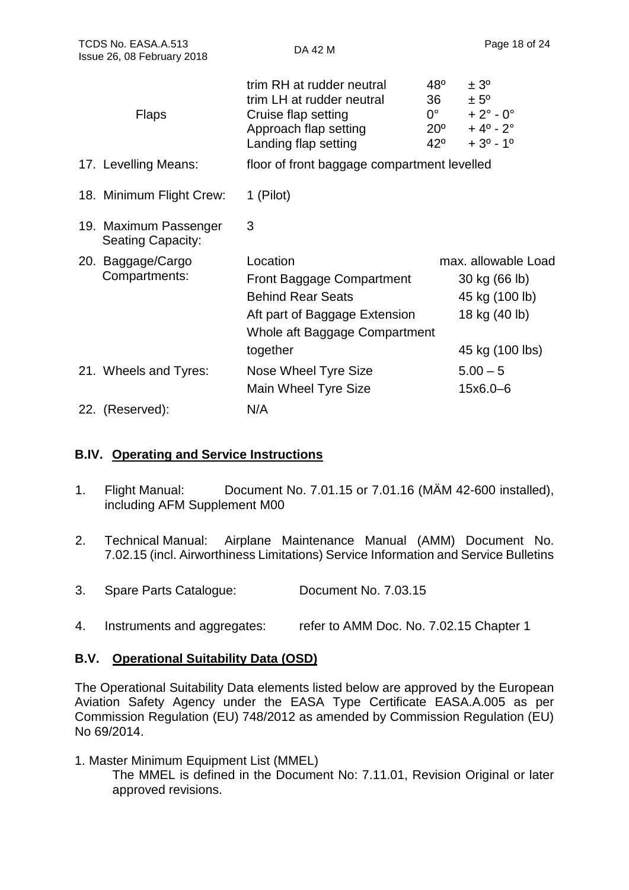| TCDS No. EASA.A.513<br>Issue 26, 08 February 2018 |                                                   | DA 42 M                                                                                                                                                |                                                                   | Page 18 of 24                                                                                             |  |
|---------------------------------------------------|---------------------------------------------------|--------------------------------------------------------------------------------------------------------------------------------------------------------|-------------------------------------------------------------------|-----------------------------------------------------------------------------------------------------------|--|
|                                                   | <b>Flaps</b>                                      | trim RH at rudder neutral<br>trim LH at rudder neutral<br>Cruise flap setting<br>Approach flap setting<br>Landing flap setting                         | $48^{\circ}$<br>36<br>$0^{\circ}$<br>$20^{\circ}$<br>$42^{\circ}$ | ± 3 <sup>o</sup><br>$± 5^{\circ}$<br>$+2^{\circ} - 0^{\circ}$<br>$+4^{\circ} - 2^{\circ}$<br>$+3^0 - 1^0$ |  |
|                                                   | 17. Levelling Means:                              | floor of front baggage compartment levelled                                                                                                            |                                                                   |                                                                                                           |  |
|                                                   | 18. Minimum Flight Crew:                          | 1 (Pilot)                                                                                                                                              |                                                                   |                                                                                                           |  |
|                                                   | 19. Maximum Passenger<br><b>Seating Capacity:</b> | 3                                                                                                                                                      |                                                                   |                                                                                                           |  |
|                                                   | 20. Baggage/Cargo<br>Compartments:                | Location<br><b>Front Baggage Compartment</b><br><b>Behind Rear Seats</b><br>Aft part of Baggage Extension<br>Whole aft Baggage Compartment<br>together |                                                                   | max. allowable Load<br>30 kg (66 lb)<br>45 kg (100 lb)<br>18 kg (40 lb)<br>45 kg (100 lbs)                |  |
|                                                   | 21. Wheels and Tyres:                             | Nose Wheel Tyre Size<br>Main Wheel Tyre Size                                                                                                           |                                                                   | $5.00 - 5$<br>15x6.0-6                                                                                    |  |
|                                                   | 22. (Reserved):                                   | N/A                                                                                                                                                    |                                                                   |                                                                                                           |  |

#### **B.IV. Operating and Service Instructions**

- 1. Flight Manual: Document No. 7.01.15 or 7.01.16 (MÄM 42-600 installed), including AFM Supplement M00
- 2. Technical Manual: Airplane Maintenance Manual (AMM) Document No. 7.02.15 (incl. Airworthiness Limitations) Service Information and Service Bulletins
- 3. Spare Parts Catalogue: Document No. 7.03.15
- 4. Instruments and aggregates: refer to AMM Doc. No. 7.02.15 Chapter 1

#### **B.V. Operational Suitability Data (OSD)**

The Operational Suitability Data elements listed below are approved by the European Aviation Safety Agency under the EASA Type Certificate EASA.A.005 as per Commission Regulation (EU) 748/2012 as amended by Commission Regulation (EU) No 69/2014.

1. Master Minimum Equipment List (MMEL) The MMEL is defined in the Document No: 7.11.01, Revision Original or later approved revisions.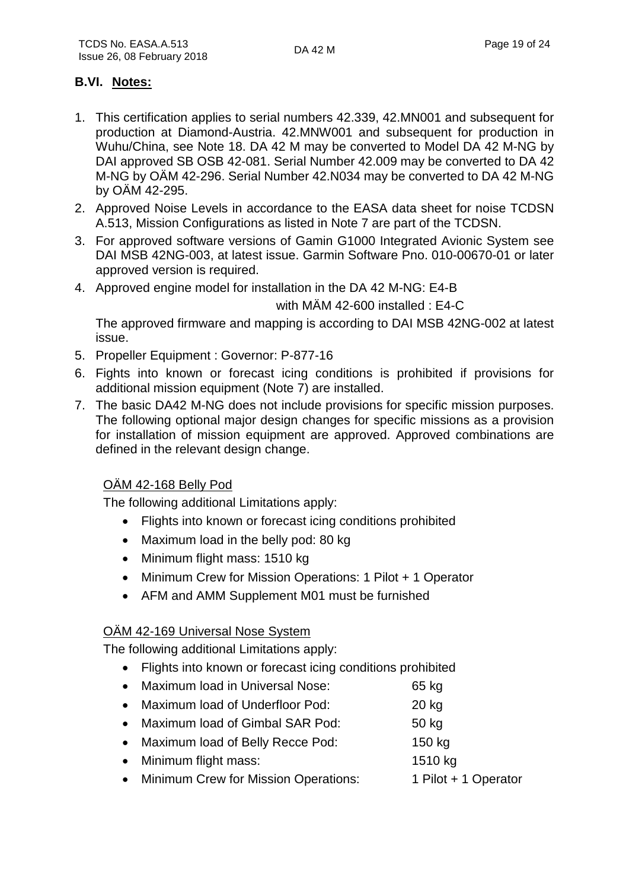#### **B.VI. Notes:**

- 1. This certification applies to serial numbers 42.339, 42.MN001 and subsequent for production at Diamond-Austria. 42.MNW001 and subsequent for production in Wuhu/China, see Note 18. DA 42 M may be converted to Model DA 42 M-NG by DAI approved SB OSB 42-081. Serial Number 42.009 may be converted to DA 42 M-NG by OÄM 42-296. Serial Number 42.N034 may be converted to DA 42 M-NG by OÄM 42-295.
- 2. Approved Noise Levels in accordance to the EASA data sheet for noise TCDSN A.513, Mission Configurations as listed in Note 7 are part of the TCDSN.
- 3. For approved software versions of Gamin G1000 Integrated Avionic System see DAI MSB 42NG-003, at latest issue. Garmin Software Pno. 010-00670-01 or later approved version is required.
- 4. Approved engine model for installation in the DA 42 M-NG: E4-B

with MÄM 42-600 installed : E4-C

The approved firmware and mapping is according to DAI MSB 42NG-002 at latest issue.

- 5. Propeller Equipment : Governor: P-877-16
- 6. Fights into known or forecast icing conditions is prohibited if provisions for additional mission equipment (Note 7) are installed.
- 7. The basic DA42 M-NG does not include provisions for specific mission purposes. The following optional major design changes for specific missions as a provision for installation of mission equipment are approved. Approved combinations are defined in the relevant design change.

#### OÄM 42-168 Belly Pod

The following additional Limitations apply:

- Flights into known or forecast icing conditions prohibited
- Maximum load in the belly pod: 80 kg
- Minimum flight mass: 1510 kg
- Minimum Crew for Mission Operations: 1 Pilot + 1 Operator
- AFM and AMM Supplement M01 must be furnished

#### OÄM 42-169 Universal Nose System

The following additional Limitations apply:

- Flights into known or forecast icing conditions prohibited
- Maximum load in Universal Nose: 65 kg
- Maximum load of Underfloor Pod: 20 kg
- Maximum load of Gimbal SAR Pod: 50 kg
- Maximum load of Belly Recce Pod: 150 kg
- Minimum flight mass: 1510 kg
- Minimum Crew for Mission Operations: 1 Pilot + 1 Operator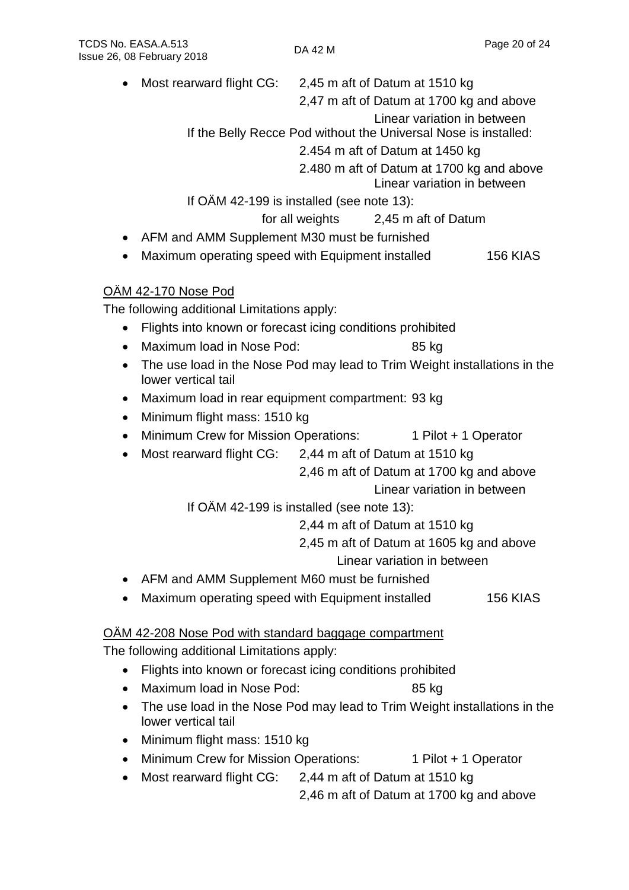- Most rearward flight CG: 2,45 m aft of Datum at 1510 kg
	- 2,47 m aft of Datum at 1700 kg and above
		- Linear variation in between
	- If the Belly Recce Pod without the Universal Nose is installed:
		- 2.454 m aft of Datum at 1450 kg
		- 2.480 m aft of Datum at 1700 kg and above
			- Linear variation in between

If OÄM 42-199 is installed (see note 13):

- for all weights 2,45 m aft of Datum
- AFM and AMM Supplement M30 must be furnished
- Maximum operating speed with Equipment installed 156 KIAS

### OÄM 42-170 Nose Pod

The following additional Limitations apply:

- Flights into known or forecast icing conditions prohibited
- Maximum load in Nose Pod: 85 kg
- The use load in the Nose Pod may lead to Trim Weight installations in the lower vertical tail
- Maximum load in rear equipment compartment: 93 kg
- Minimum flight mass: 1510 kg
- Minimum Crew for Mission Operations: 1 Pilot + 1 Operator
- Most rearward flight CG: 2,44 m aft of Datum at 1510 kg

2,46 m aft of Datum at 1700 kg and above

Linear variation in between

If OÄM 42-199 is installed (see note 13):

2,44 m aft of Datum at 1510 kg

2,45 m aft of Datum at 1605 kg and above

Linear variation in between

- AFM and AMM Supplement M60 must be furnished
- Maximum operating speed with Equipment installed 156 KIAS

#### OÄM 42-208 Nose Pod with standard baggage compartment

The following additional Limitations apply:

- Flights into known or forecast icing conditions prohibited
- Maximum load in Nose Pod: 85 kg
- The use load in the Nose Pod may lead to Trim Weight installations in the lower vertical tail
- Minimum flight mass: 1510 kg
- Minimum Crew for Mission Operations: 1 Pilot + 1 Operator
- Most rearward flight CG: 2,44 m aft of Datum at 1510 kg

2,46 m aft of Datum at 1700 kg and above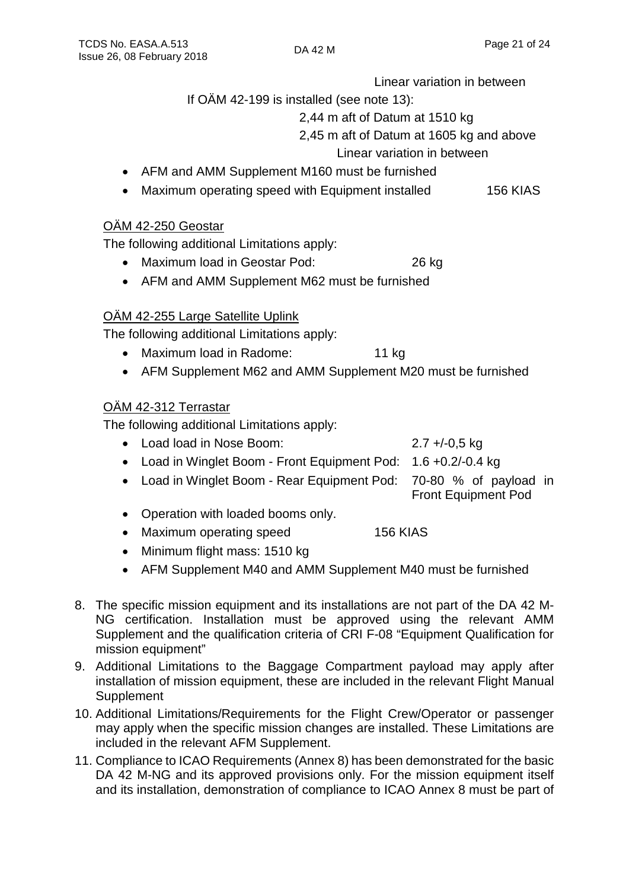Linear variation in between

If OÄM 42-199 is installed (see note 13):

2,44 m aft of Datum at 1510 kg

2,45 m aft of Datum at 1605 kg and above

Linear variation in between

- AFM and AMM Supplement M160 must be furnished
- Maximum operating speed with Equipment installed 156 KIAS

#### OÄM 42-250 Geostar

The following additional Limitations apply:

- Maximum load in Geostar Pod: 26 kg
- AFM and AMM Supplement M62 must be furnished

#### OÄM 42-255 Large Satellite Uplink

The following additional Limitations apply:

- Maximum load in Radome: 11 kg
- AFM Supplement M62 and AMM Supplement M20 must be furnished

#### OÄM 42-312 Terrastar

The following additional Limitations apply:

- Load load in Nose Boom: 2.7 +/-0,5 kg
- Load in Winglet Boom Front Equipment Pod: 1.6 +0.2/-0.4 kg
- Load in Winglet Boom Rear Equipment Pod: 70-80 % of payload in
- Operation with loaded booms only. • Maximum operating speed 156 KIAS
- Minimum flight mass: 1510 kg
- AFM Supplement M40 and AMM Supplement M40 must be furnished
- 8. The specific mission equipment and its installations are not part of the DA 42 M-NG certification. Installation must be approved using the relevant AMM Supplement and the qualification criteria of CRI F-08 "Equipment Qualification for mission equipment"
- 9. Additional Limitations to the Baggage Compartment payload may apply after installation of mission equipment, these are included in the relevant Flight Manual **Supplement**
- 10. Additional Limitations/Requirements for the Flight Crew/Operator or passenger may apply when the specific mission changes are installed. These Limitations are included in the relevant AFM Supplement.
- 11. Compliance to ICAO Requirements (Annex 8) has been demonstrated for the basic DA 42 M-NG and its approved provisions only. For the mission equipment itself and its installation, demonstration of compliance to ICAO Annex 8 must be part of
- 
- 
- Front Equipment Pod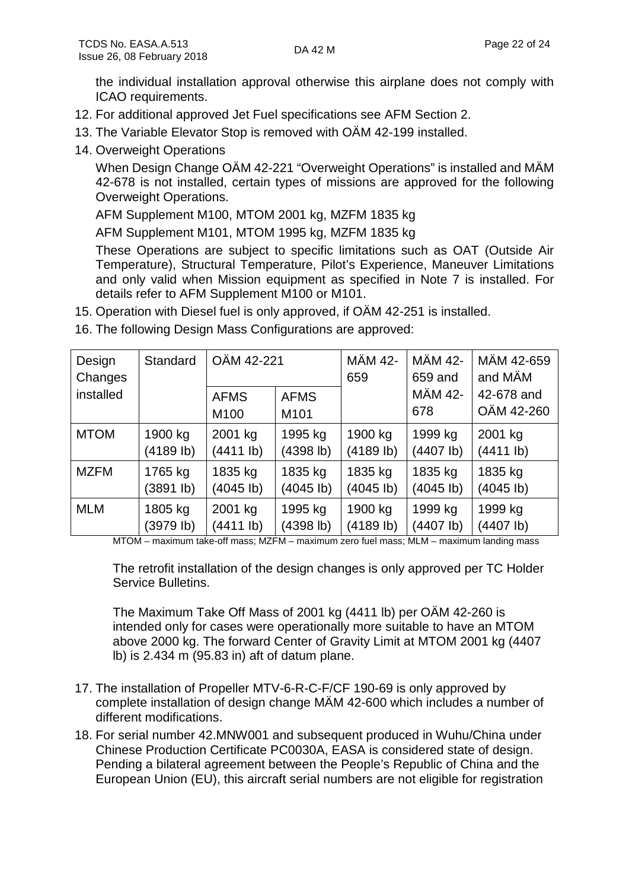the individual installation approval otherwise this airplane does not comply with ICAO requirements.

- 12. For additional approved Jet Fuel specifications see AFM Section 2.
- 13. The Variable Elevator Stop is removed with OÄM 42-199 installed.
- 14. Overweight Operations

When Design Change OÄM 42-221 "Overweight Operations" is installed and MÄM 42-678 is not installed, certain types of missions are approved for the following Overweight Operations.

AFM Supplement M100, MTOM 2001 kg, MZFM 1835 kg

AFM Supplement M101, MTOM 1995 kg, MZFM 1835 kg

These Operations are subject to specific limitations such as OAT (Outside Air Temperature), Structural Temperature, Pilot's Experience, Maneuver Limitations and only valid when Mission equipment as specified in Note 7 is installed. For details refer to AFM Supplement M100 or M101.

- 15. Operation with Diesel fuel is only approved, if OÄM 42-251 is installed.
- 16. The following Design Mass Configurations are approved:

| Design<br>Changes | Standard  | OÄM 42-221                      |                                 | <b>MÄM 42-</b><br>659 | <b>MÄM 42-</b><br>659 and | MÄM 42-659<br>and MÄM    |
|-------------------|-----------|---------------------------------|---------------------------------|-----------------------|---------------------------|--------------------------|
| installed         |           | <b>AFMS</b><br>M <sub>100</sub> | <b>AFMS</b><br>M <sub>101</sub> |                       | MÄM 42-<br>678            | 42-678 and<br>OÄM 42-260 |
| <b>MTOM</b>       | 1900 kg   | 2001 kg                         | 1995 kg                         | 1900 kg               | 1999 kg                   | 2001 kg                  |
|                   | (4189 lb) | (4411 lb)                       | (4398 lb)                       | (4189 lb)             | (4407 lb)                 | (4411 lb)                |
| <b>MZFM</b>       | 1765 kg   | 1835 kg                         | 1835 kg                         | 1835 kg               | 1835 kg                   | 1835 kg                  |
|                   | (3891 lb) | (4045 lb)                       | (4045 lb)                       | (4045 lb)             | (4045 lb)                 | (4045 lb)                |
| <b>MLM</b>        | 1805 kg   | 2001 kg                         | 1995 kg                         | 1900 kg               | 1999 kg                   | 1999 kg                  |
|                   | (3979 lb) | (4411 lb)                       | (4398 lb)                       | (4189 lb)             | (4407 lb)                 | (4407 lb)                |

MTOM – maximum take-off mass; MZFM – maximum zero fuel mass; MLM – maximum landing mass

The retrofit installation of the design changes is only approved per TC Holder Service Bulletins.

The Maximum Take Off Mass of 2001 kg (4411 lb) per OÄM 42-260 is intended only for cases were operationally more suitable to have an MTOM above 2000 kg. The forward Center of Gravity Limit at MTOM 2001 kg (4407 lb) is 2.434 m (95.83 in) aft of datum plane.

- 17. The installation of Propeller MTV-6-R-C-F/CF 190-69 is only approved by complete installation of design change MÄM 42-600 which includes a number of different modifications.
- 18. For serial number 42.MNW001 and subsequent produced in Wuhu/China under Chinese Production Certificate PC0030A, EASA is considered state of design. Pending a bilateral agreement between the People's Republic of China and the European Union (EU), this aircraft serial numbers are not eligible for registration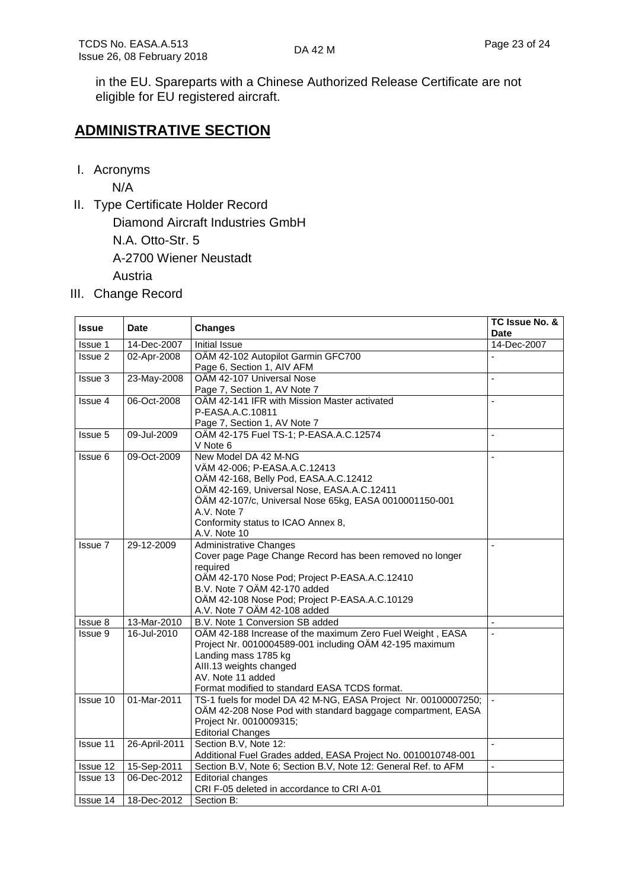in the EU. Spareparts with a Chinese Authorized Release Certificate are not eligible for EU registered aircraft.

## **ADMINISTRATIVE SECTION**

I. Acronyms

N/A

II. Type Certificate Holder Record

Diamond Aircraft Industries GmbH

N.A. Otto-Str. 5

A-2700 Wiener Neustadt

Austria

III. Change Record

| <b>Issue</b>    | <b>Date</b>   | <b>Changes</b>                                                 | TC Issue No. &<br>Date |
|-----------------|---------------|----------------------------------------------------------------|------------------------|
| <b>Issue 1</b>  | 14-Dec-2007   | Initial Issue                                                  | 14-Dec-2007            |
| Issue 2         | 02-Apr-2008   | OÄM 42-102 Autopilot Garmin GFC700                             |                        |
|                 |               | Page 6, Section 1, AIV AFM                                     |                        |
| Issue 3         | 23-May-2008   | OÄM 42-107 Universal Nose                                      | ÷,                     |
|                 |               | Page 7, Section 1, AV Note 7                                   |                        |
| Issue 4         | 06-Oct-2008   | OÄM 42-141 IFR with Mission Master activated                   | ä,                     |
|                 |               | P-EASA.A.C.10811                                               |                        |
|                 |               | Page 7, Section 1, AV Note 7                                   |                        |
| Issue 5         | 09-Jul-2009   | OÄM 42-175 Fuel TS-1; P-EASA.A.C.12574                         | L.                     |
|                 |               | V Note 6                                                       |                        |
| Issue 6         | 09-Oct-2009   | New Model DA 42 M-NG                                           | $\overline{a}$         |
|                 |               | VÄM 42-006; P-EASA.A.C.12413                                   |                        |
|                 |               | OÄM 42-168, Belly Pod, EASA.A.C.12412                          |                        |
|                 |               | OÄM 42-169, Universal Nose, EASA.A.C.12411                     |                        |
|                 |               | ÖÄM 42-107/c, Universal Nose 65kg, EASA 0010001150-001         |                        |
|                 |               | A.V. Note 7                                                    |                        |
|                 |               | Conformity status to ICAO Annex 8,                             |                        |
|                 |               | A.V. Note 10                                                   |                        |
| Issue 7         | 29-12-2009    | <b>Administrative Changes</b>                                  |                        |
|                 |               | Cover page Page Change Record has been removed no longer       |                        |
|                 |               | required                                                       |                        |
|                 |               | OÄM 42-170 Nose Pod; Project P-EASA.A.C.12410                  |                        |
|                 |               | B.V. Note 7 OÄM 42-170 added                                   |                        |
|                 |               | OÄM 42-108 Nose Pod; Project P-EASA.A.C.10129                  |                        |
|                 |               | A.V. Note 7 OÄM 42-108 added                                   |                        |
| Issue 8         | 13-Mar-2010   | B.V. Note 1 Conversion SB added                                |                        |
| Issue 9         | 16-Jul-2010   | OÄM 42-188 Increase of the maximum Zero Fuel Weight, EASA      | ä,                     |
|                 |               | Project Nr. 0010004589-001 including OÄM 42-195 maximum        |                        |
|                 |               | Landing mass 1785 kg                                           |                        |
|                 |               | AIII.13 weights changed                                        |                        |
|                 |               | AV. Note 11 added                                              |                        |
|                 |               | Format modified to standard EASA TCDS format.                  |                        |
| Issue 10        | 01-Mar-2011   | TS-1 fuels for model DA 42 M-NG, EASA Project Nr. 00100007250; |                        |
|                 |               | OÄM 42-208 Nose Pod with standard baggage compartment, EASA    |                        |
|                 |               | Project Nr. 0010009315;                                        |                        |
|                 |               | <b>Editorial Changes</b>                                       |                        |
| <b>Issue 11</b> | 26-April-2011 | Section B.V, Note 12:                                          | ä,                     |
|                 |               | Additional Fuel Grades added, EASA Project No. 0010010748-001  |                        |
| Issue 12        | 15-Sep-2011   | Section B.V, Note 6; Section B.V, Note 12: General Ref. to AFM |                        |
| Issue 13        | 06-Dec-2012   | <b>Editorial changes</b>                                       |                        |
|                 |               | CRI F-05 deleted in accordance to CRI A-01                     |                        |
| Issue 14        | 18-Dec-2012   | Section B:                                                     |                        |